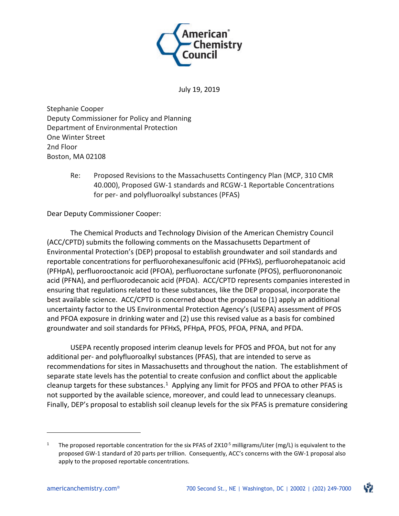

July 19, 2019

Stephanie Cooper Deputy Commissioner for Policy and Planning Department of Environmental Protection One Winter Street 2nd Floor Boston, MA 02108

> Re: Proposed Revisions to the Massachusetts Contingency Plan (MCP, 310 CMR 40.000), Proposed GW-1 standards and RCGW-1 Reportable Concentrations for per- and polyfluoroalkyl substances (PFAS)

Dear Deputy Commissioner Cooper:

The Chemical Products and Technology Division of the American Chemistry Council (ACC/CPTD) submits the following comments on the Massachusetts Department of Environmental Protection's (DEP) proposal to establish groundwater and soil standards and reportable concentrations for perfluorohexanesulfonic acid (PFHxS), perfluorohepatanoic acid (PFHpA), perfluorooctanoic acid (PFOA), perfluoroctane surfonate (PFOS), perfluorononanoic acid (PFNA), and perfluorodecanoic acid (PFDA). ACC/CPTD represents companies interested in ensuring that regulations related to these substances, like the DEP proposal, incorporate the best available science. ACC/CPTD is concerned about the proposal to (1) apply an additional uncertainty factor to the US Environmental Protection Agency's (USEPA) assessment of PFOS and PFOA exposure in drinking water and (2) use this revised value as a basis for combined groundwater and soil standards for PFHxS, PFHpA, PFOS, PFOA, PFNA, and PFDA.

USEPA recently proposed interim cleanup levels for PFOS and PFOA, but not for any additional per- and polyfluoroalkyl substances (PFAS), that are intended to serve as recommendations for sites in Massachusetts and throughout the nation. The establishment of separate state levels has the potential to create confusion and conflict about the applicable cleanup targets for these substances.<sup>[1](#page-0-0)</sup> Applying any limit for PFOS and PFOA to other PFAS is not supported by the available science, moreover, and could lead to unnecessary cleanups. Finally, DEP's proposal to establish soil cleanup levels for the six PFAS is premature considering

 $\overline{\phantom{a}}$ 



<span id="page-0-0"></span>The proposed reportable concentration for the six PFAS of  $2X10^{-5}$  milligrams/Liter (mg/L) is equivalent to the proposed GW-1 standard of 20 parts per trillion. Consequently, ACC's concerns with the GW-1 proposal also apply to the proposed reportable concentrations.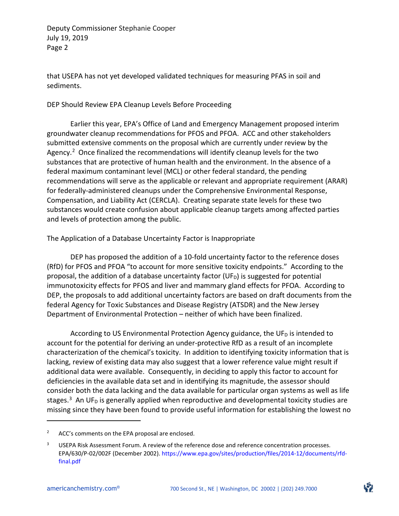that USEPA has not yet developed validated techniques for measuring PFAS in soil and sediments.

#### DEP Should Review EPA Cleanup Levels Before Proceeding

Earlier this year, EPA's Office of Land and Emergency Management proposed interim groundwater cleanup recommendations for PFOS and PFOA. ACC and other stakeholders submitted extensive comments on the proposal which are currently under review by the Agency.<sup>[2](#page-1-0)</sup> Once finalized the recommendations will identify cleanup levels for the two substances that are protective of human health and the environment. In the absence of a federal maximum contaminant level (MCL) or other federal standard, the pending recommendations will serve as the applicable or relevant and appropriate requirement (ARAR) for federally-administered cleanups under the Comprehensive Environmental Response, Compensation, and Liability Act (CERCLA). Creating separate state levels for these two substances would create confusion about applicable cleanup targets among affected parties and levels of protection among the public.

### The Application of a Database Uncertainty Factor is Inappropriate

DEP has proposed the addition of a 10-fold uncertainty factor to the reference doses (RfD) for PFOS and PFOA "to account for more sensitive toxicity endpoints." According to the proposal, the addition of a database uncertainty factor (UF<sub>D</sub>) is suggested for potential immunotoxicity effects for PFOS and liver and mammary gland effects for PFOA. According to DEP, the proposals to add additional uncertainty factors are based on draft documents from the federal Agency for Toxic Substances and Disease Registry (ATSDR) and the New Jersey Department of Environmental Protection – neither of which have been finalized.

According to US Environmental Protection Agency guidance, the UF $<sub>D</sub>$  is intended to</sub> account for the potential for deriving an under-protective RfD as a result of an incomplete characterization of the chemical's toxicity. In addition to identifying toxicity information that is lacking, review of existing data may also suggest that a lower reference value might result if additional data were available. Consequently, in deciding to apply this factor to account for deficiencies in the available data set and in identifying its magnitude, the assessor should consider both the data lacking and the data available for particular organ systems as well as life stages.<sup>[3](#page-1-1)</sup> An UF<sub>D</sub> is generally applied when reproductive and developmental toxicity studies are missing since they have been found to provide useful information for establishing the lowest no

l

<span id="page-1-0"></span><sup>&</sup>lt;sup>2</sup> ACC's comments on the EPA proposal are enclosed.

<span id="page-1-1"></span>USEPA Risk Assessment Forum. A review of the reference dose and reference concentration processes. EPA/630/P-02/002F (December 2002). https://www.epa.gov/sites/production/files/2014-12/documents/rfdfinal.pdf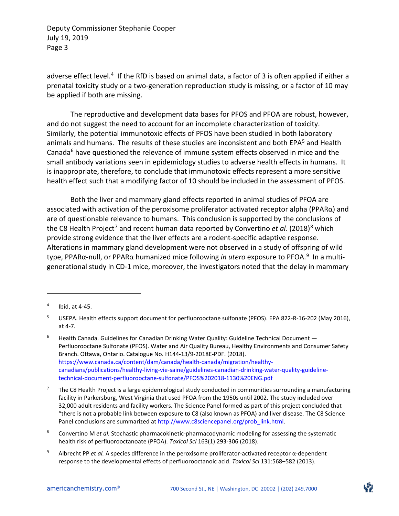adverse effect level.<sup>[4](#page-2-0)</sup> If the RfD is based on animal data, a factor of 3 is often applied if either a prenatal toxicity study or a two-generation reproduction study is missing, or a factor of 10 may be applied if both are missing.

The reproductive and development data bases for PFOS and PFOA are robust, however, and do not suggest the need to account for an incomplete characterization of toxicity. Similarly, the potential immunotoxic effects of PFOS have been studied in both laboratory animals and humans. The results of these studies are inconsistent and both EPA<sup>[5](#page-2-1)</sup> and Health Canada $6$  have questioned the relevance of immune system effects observed in mice and the small antibody variations seen in epidemiology studies to adverse health effects in humans. It is inappropriate, therefore, to conclude that immunotoxic effects represent a more sensitive health effect such that a modifying factor of 10 should be included in the assessment of PFOS.

Both the liver and mammary gland effects reported in animal studies of PFOA are associated with activation of the peroxisome proliferator activated receptor alpha (PPARα) and are of questionable relevance to humans. This conclusion is supported by the conclusions of the C8 Health Project<sup>[7](#page-2-3)</sup> and recent human data reported by Convertino *et al.* (201[8](#page-2-4))<sup>8</sup> which provide strong evidence that the liver effects are a rodent-specific adaptive response. Alterations in mammary gland development were not observed in a study of offspring of wild type, PPARα-null, or PPARα humanized mice following *in utero* exposure to PFOA.[9](#page-2-5) In a multigenerational study in CD-1 mice, moreover, the investigators noted that the delay in mammary

l

<span id="page-2-0"></span> $4$  Ibid, at 4-45.

<span id="page-2-1"></span><sup>&</sup>lt;sup>5</sup> USEPA. Health effects support document for perfluorooctane sulfonate (PFOS). EPA 822-R-16-202 (May 2016), at 4-7.

<span id="page-2-2"></span> $6$  Health Canada. Guidelines for Canadian Drinking Water Quality: Guideline Technical Document  $-$ Perfluorooctane Sulfonate (PFOS). Water and Air Quality Bureau, Healthy Environments and Consumer Safety Branch. Ottawa, Ontario. Catalogue No. H144-13/9-2018E-PDF. (2018). https://www.canada.ca/content/dam/canada/health-canada/migration/healthycanadians/publications/healthy-living-vie-saine/guidelines-canadian-drinking-water-quality-guidelinetechnical-document-perfluorooctane-sulfonate/PFOS%202018-1130%20ENG.pdf

<span id="page-2-3"></span><sup>7</sup> The C8 Health Project is a large epidemiological study conducted in communities surrounding a manufacturing facility in Parkersburg, West Virginia that used PFOA from the 1950s until 2002. The study included over 32,000 adult residents and facility workers. The Science Panel formed as part of this project concluded that "there is not a probable link between exposure to C8 (also known as PFOA) and liver disease. The C8 Science Panel conclusions are summarized at http://www.c8sciencepanel.org/prob\_link.html.

<span id="page-2-4"></span><sup>8</sup> Convertino M *et al.* Stochastic pharmacokinetic-pharmacodynamic modeling for assessing the systematic health risk of perfluorooctanoate (PFOA). *Toxicol Sci* 163(1) 293-306 (2018).

<span id="page-2-5"></span><sup>9</sup> Albrecht PP *et al.* A species difference in the peroxisome proliferator-activated receptor α-dependent response to the developmental effects of perfluorooctanoic acid. *Toxicol Sci* 131:568–582 (2013).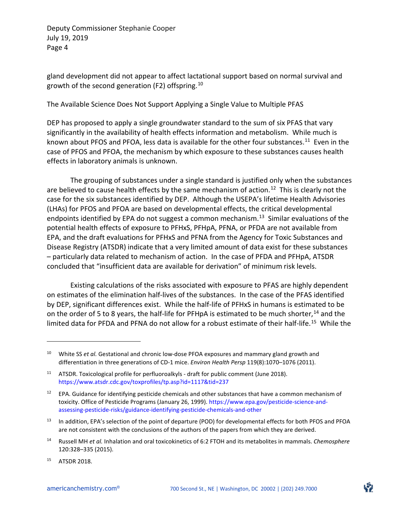gland development did not appear to affect lactational support based on normal survival and growth of the second generation (F2) offspring.[10](#page-3-0)

The Available Science Does Not Support Applying a Single Value to Multiple PFAS

DEP has proposed to apply a single groundwater standard to the sum of six PFAS that vary significantly in the availability of health effects information and metabolism. While much is known about PFOS and PFOA, less data is available for the other four substances.<sup>[11](#page-3-1)</sup> Even in the case of PFOS and PFOA, the mechanism by which exposure to these substances causes health effects in laboratory animals is unknown.

The grouping of substances under a single standard is justified only when the substances are believed to cause health effects by the same mechanism of action.<sup>[12](#page-3-2)</sup> This is clearly not the case for the six substances identified by DEP. Although the USEPA's lifetime Health Advisories (LHAs) for PFOS and PFOA are based on developmental effects, the critical developmental endpoints identified by EPA do not suggest a common mechanism.<sup>13</sup> Similar evaluations of the potential health effects of exposure to PFHxS, PFHpA, PFNA, or PFDA are not available from EPA, and the draft evaluations for PFHxS and PFNA from the Agency for Toxic Substances and Disease Registry (ATSDR) indicate that a very limited amount of data exist for these substances – particularly data related to mechanism of action. In the case of PFDA and PFHpA, ATSDR concluded that "insufficient data are available for derivation" of minimum risk levels.

Existing calculations of the risks associated with exposure to PFAS are highly dependent on estimates of the elimination half-lives of the substances. In the case of the PFAS identified by DEP, significant differences exist. While the half-life of PFHxS in humans is estimated to be on the order of 5 to 8 years, the half-life for PFHpA is estimated to be much shorter,<sup>[14](#page-3-4)</sup> and the limited data for PFDA and PFNA do not allow for a robust estimate of their half-life.[15](#page-3-5) While the

 $\overline{\phantom{a}}$ 

<span id="page-3-0"></span><sup>&</sup>lt;sup>10</sup> White SS *et al.* Gestational and chronic low-dose PFOA exposures and mammary gland growth and differentiation in three generations of CD-1 mice. *Environ Health Persp* 119(8):1070–1076 (2011).

<span id="page-3-1"></span><sup>&</sup>lt;sup>11</sup> ATSDR. Toxicological profile for perfluoroalkyls - draft for public comment (June 2018). https://www.atsdr.cdc.gov/toxprofiles/tp.asp?id=1117&tid=237

<span id="page-3-2"></span><sup>&</sup>lt;sup>12</sup> EPA. Guidance for identifying pesticide chemicals and other substances that have a common mechanism of toxicity. Office of Pesticide Programs (January 26, 1999). https://www.epa.gov/pesticide-science-andassessing-pesticide-risks/guidance-identifying-pesticide-chemicals-and-other

<span id="page-3-3"></span><sup>&</sup>lt;sup>13</sup> In addition, EPA's selection of the point of departure (POD) for developmental effects for both PFOS and PFOA are not consistent with the conclusions of the authors of the papers from which they are derived.

<span id="page-3-4"></span><sup>14</sup> Russell MH *et al.* Inhalation and oral toxicokinetics of 6:2 FTOH and its metabolites in mammals. *Chemosphere*  120:328–335 (2015).

<span id="page-3-5"></span><sup>15</sup> ATSDR 2018.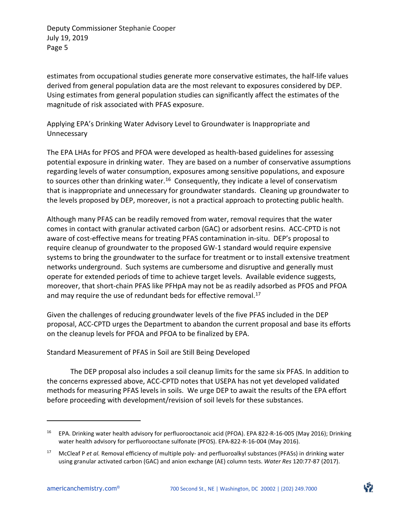estimates from occupational studies generate more conservative estimates, the half-life values derived from general population data are the most relevant to exposures considered by DEP. Using estimates from general population studies can significantly affect the estimates of the magnitude of risk associated with PFAS exposure.

Applying EPA's Drinking Water Advisory Level to Groundwater is Inappropriate and Unnecessary

The EPA LHAs for PFOS and PFOA were developed as health-based guidelines for assessing potential exposure in drinking water. They are based on a number of conservative assumptions regarding levels of water consumption, exposures among sensitive populations, and exposure to sources other than drinking water.<sup>[16](#page-4-0)</sup> Consequently, they indicate a level of conservatism that is inappropriate and unnecessary for groundwater standards. Cleaning up groundwater to the levels proposed by DEP, moreover, is not a practical approach to protecting public health.

Although many PFAS can be readily removed from water, removal requires that the water comes in contact with granular activated carbon (GAC) or adsorbent resins. ACC-CPTD is not aware of cost-effective means for treating PFAS contamination in-situ. DEP's proposal to require cleanup of groundwater to the proposed GW-1 standard would require expensive systems to bring the groundwater to the surface for treatment or to install extensive treatment networks underground. Such systems are cumbersome and disruptive and generally must operate for extended periods of time to achieve target levels. Available evidence suggests, moreover, that short-chain PFAS like PFHpA may not be as readily adsorbed as PFOS and PFOA and may require the use of redundant beds for effective removal.<sup>[17](#page-4-1)</sup>

Given the challenges of reducing groundwater levels of the five PFAS included in the DEP proposal, ACC-CPTD urges the Department to abandon the current proposal and base its efforts on the cleanup levels for PFOA and PFOA to be finalized by EPA.

Standard Measurement of PFAS in Soil are Still Being Developed

The DEP proposal also includes a soil cleanup limits for the same six PFAS. In addition to the concerns expressed above, ACC-CPTD notes that USEPA has not yet developed validated methods for measuring PFAS levels in soils. We urge DEP to await the results of the EPA effort before proceeding with development/revision of soil levels for these substances.

l

<span id="page-4-0"></span><sup>&</sup>lt;sup>16</sup> EPA. Drinking water health advisory for perfluorooctanoic acid (PFOA). EPA 822-R-16-005 (May 2016); Drinking water health advisory for perfluorooctane sulfonate (PFOS). EPA-822-R-16-004 (May 2016).

<span id="page-4-1"></span><sup>17</sup> McCleaf P *et al.* Removal efficiency of multiple poly- and perfluoroalkyl substances (PFASs) in drinking water using granular activated carbon (GAC) and anion exchange (AE) column tests. *Water Res* 120:77-87 (2017).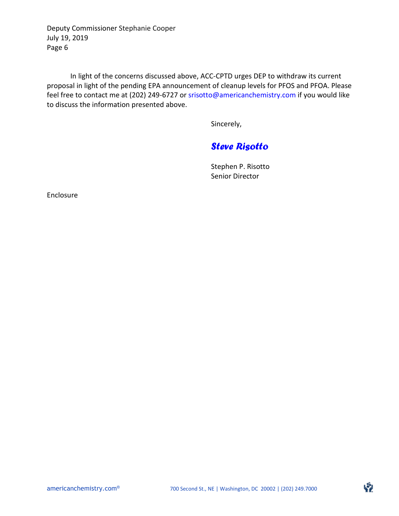In light of the concerns discussed above, ACC-CPTD urges DEP to withdraw its current proposal in light of the pending EPA announcement of cleanup levels for PFOS and PFOA. Please feel free to contact me at (202) 249-6727 or srisotto@americanchemistry.com if you would like to discuss the information presented above.

Sincerely,

# *Steve Risotto*

Stephen P. Risotto Senior Director

Enclosure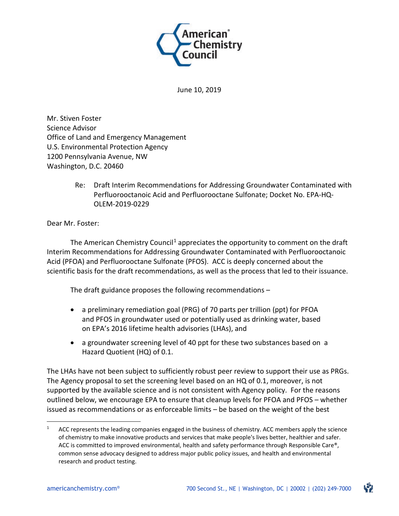

June 10, 2019

Mr. Stiven Foster Science Advisor Office of Land and Emergency Management U.S. Environmental Protection Agency 1200 Pennsylvania Avenue, NW Washington, D.C. 20460

> Re: Draft Interim Recommendations for Addressing Groundwater Contaminated with Perfluorooctanoic Acid and Perfluorooctane Sulfonate; Docket No. EPA-HQ-OLEM-2019-0229

Dear Mr. Foster:

The American Chemistry Council<sup>[1](#page-6-0)</sup> appreciates the opportunity to comment on the draft Interim Recommendations for Addressing Groundwater Contaminated with Perfluorooctanoic Acid (PFOA) and Perfluorooctane Sulfonate (PFOS). ACC is deeply concerned about the scientific basis for the draft recommendations, as well as the process that led to their issuance.

The draft guidance proposes the following recommendations –

- a preliminary remediation goal (PRG) of 70 parts per trillion (ppt) for PFOA and PFOS in groundwater used or potentially used as drinking water, based on EPA's 2016 lifetime health advisories (LHAs), and
- a groundwater screening level of 40 ppt for these two substances based on a Hazard Quotient (HQ) of 0.1.

The LHAs have not been subject to sufficiently robust peer review to support their use as PRGs. The Agency proposal to set the screening level based on an HQ of 0.1, moreover, is not supported by the available science and is not consistent with Agency policy. For the reasons outlined below, we encourage EPA to ensure that cleanup levels for PFOA and PFOS – whether issued as recommendations or as enforceable limits – be based on the weight of the best

<span id="page-6-0"></span> $1$  ACC represents the leading companies engaged in the business of chemistry. ACC members apply the science of chemistry to make innovative products and services that make people's lives better, healthier and safer. ACC is committed to improved environmental, health and safety performance through Responsible Care®, common sense advocacy designed to address major public policy issues, and health and environmental research and product testing.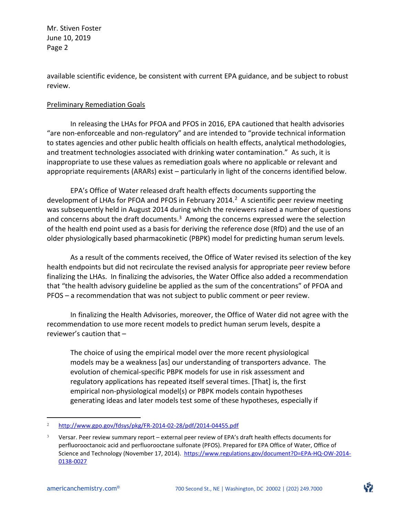available scientific evidence, be consistent with current EPA guidance, and be subject to robust review.

#### Preliminary Remediation Goals

In releasing the LHAs for PFOA and PFOS in 2016, EPA cautioned that health advisories "are non-enforceable and non-regulatory" and are intended to "provide technical information to states agencies and other public health officials on health effects, analytical methodologies, and treatment technologies associated with drinking water contamination." As such, it is inappropriate to use these values as remediation goals where no applicable or relevant and appropriate requirements (ARARs) exist – particularly in light of the concerns identified below.

EPA's Office of Water released draft health effects documents supporting the development of LHAs for PFOA and PFOS in February 2014. [2](#page-7-0) A scientific peer review meeting was subsequently held in August 2014 during which the reviewers raised a number of questions and concerns about the draft documents.<sup>[3](#page-7-1)</sup> Among the concerns expressed were the selection of the health end point used as a basis for deriving the reference dose (RfD) and the use of an older physiologically based pharmacokinetic (PBPK) model for predicting human serum levels.

As a result of the comments received, the Office of Water revised its selection of the key health endpoints but did not recirculate the revised analysis for appropriate peer review before finalizing the LHAs. In finalizing the advisories, the Water Office also added a recommendation that "the health advisory guideline be applied as the sum of the concentrations" of PFOA and PFOS – a recommendation that was not subject to public comment or peer review.

In finalizing the Health Advisories, moreover, the Office of Water did not agree with the recommendation to use more recent models to predict human serum levels, despite a reviewer's caution that –

The choice of using the empirical model over the more recent physiological models may be a weakness [as] our understanding of transporters advance. The evolution of chemical-specific PBPK models for use in risk assessment and regulatory applications has repeated itself several times. [That] is, the first empirical non-physiological model(s) or PBPK models contain hypotheses generating ideas and later models test some of these hypotheses, especially if

<span id="page-7-0"></span> <sup>2</sup> <http://www.gpo.gov/fdsys/pkg/FR-2014-02-28/pdf/2014-04455.pdf>

<span id="page-7-1"></span><sup>3</sup> Versar. Peer review summary report – external peer review of EPA's draft health effects documents for perfluorooctanoic acid and perfluorooctane sulfonate (PFOS). Prepared for EPA Office of Water, Office of Science and Technology (November 17, 2014). [https://www.regulations.gov/document?D=EPA-HQ-OW-2014-](https://www.regulations.gov/document?D=EPA-HQ-OW-2014-0138-0027) [0138-0027](https://www.regulations.gov/document?D=EPA-HQ-OW-2014-0138-0027)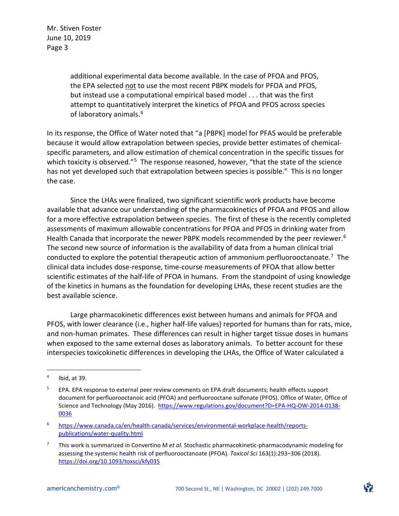> additional experimental data become available. In the case of PFOA and PFOS, the EPA selected not to use the most recent PBPK models for PFOA and PFOS, but instead use a computational empirical based model . . . that was the first attempt to quantitatively interpret the kinetics of PFOA and PFOS across species of laboratory animals.[4](#page-8-0)

In its response, the Office of Water noted that "a [PBPK] model for PFAS would be preferable because it would allow extrapolation between species, provide better estimates of chemicalspecific parameters, and allow estimation of chemical concentration in the specific tissues for which toxicity is observed."<sup>[5](#page-8-1)</sup> The response reasoned, however, "that the state of the science has not yet developed such that extrapolation between species is possible." This is no longer the case.

Since the LHAs were finalized, two significant scientific work products have become available that advance our understanding of the pharmacokinetics of PFOA and PFOS and allow for a more effective extrapolation between species. The first of these is the recently completed assessments of maximum allowable concentrations for PFOA and PFOS in drinking water from Health Canada that incorporate the newer PBPK models recommended by the peer reviewer.<sup>[6](#page-8-2)</sup> The second new source of information is the availability of data from a human clinical trial conducted to explore the potential therapeutic action of ammonium perfluorooctanoate.<sup>7</sup> The clinical data includes dose-response, time-course measurements of PFOA that allow better scientific estimates of the half-life of PFOA in humans. From the standpoint of using knowledge of the kinetics in humans as the foundation for developing LHAs, these recent studies are the best available science.

Large pharmacokinetic differences exist between humans and animals for PFOA and PFOS, with lower clearance (i.e., higher half-life values) reported for humans than for rats, mice, and non-human primates. These differences can result in higher target tissue doses in humans when exposed to the same external doses as laboratory animals. To better account for these interspecies toxicokinetic differences in developing the LHAs, the Office of Water calculated a

<span id="page-8-0"></span> $4$  Ibid, at 39.

<span id="page-8-1"></span><sup>5</sup> EPA. EPA response to external peer review comments on EPA draft documents; health effects support document for perfluorooctanoic acid (PFOA) and perfluorooctane sulfonate (PFOS). Office of Water, Office of Science and Technology (May 2016). [https://www.regulations.gov/document?D=EPA-HQ-OW-2014-0138-](https://www.regulations.gov/document?D=EPA-HQ-OW-2014-0138-0036) [0036](https://www.regulations.gov/document?D=EPA-HQ-OW-2014-0138-0036)

<span id="page-8-2"></span><sup>6</sup> [https://www.canada.ca/en/health-canada/services/environmental-workplace-health/reports](https://www.canada.ca/en/health-canada/services/environmental-workplace-health/reports-publications/water-quality.html)[publications/water-quality.html](https://www.canada.ca/en/health-canada/services/environmental-workplace-health/reports-publications/water-quality.html)

<span id="page-8-3"></span><sup>7</sup> This work is summarized in Convertino M *et al.* Stochastic pharmacokinetic-pharmacodynamic modeling for assessing the systemic health risk of perfluorooctanoate (PFOA). *Toxicol Sci* 163(1):293–306 (2018). <https://doi.org/10.1093/toxsci/kfy035>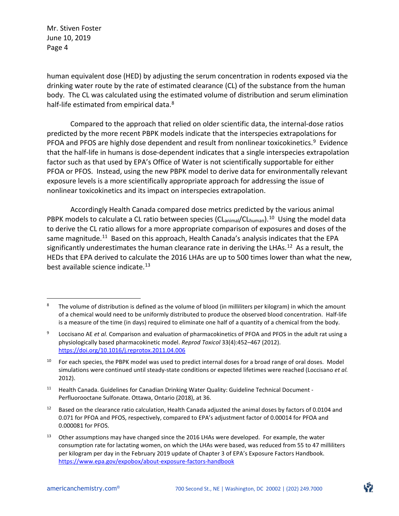human equivalent dose (HED) by adjusting the serum concentration in rodents exposed via the drinking water route by the rate of estimated clearance (CL) of the substance from the human body. The CL was calculated using the estimated volume of distribution and serum elimination half-life estimated from empirical data.<sup>[8](#page-9-0)</sup>

Compared to the approach that relied on older scientific data, the internal-dose ratios predicted by the more recent PBPK models indicate that the interspecies extrapolations for PFOA and PFOS are highly dose dependent and result from nonlinear toxicokinetics.<sup>[9](#page-9-1)</sup> Evidence that the half-life in humans is dose-dependent indicates that a single interspecies extrapolation factor such as that used by EPA's Office of Water is not scientifically supportable for either PFOA or PFOS. Instead, using the new PBPK model to derive data for environmentally relevant exposure levels is a more scientifically appropriate approach for addressing the issue of nonlinear toxicokinetics and its impact on interspecies extrapolation.

Accordingly Health Canada compared dose metrics predicted by the various animal PBPK models to calculate a CL ratio between species (CL<sub>animal</sub>/CL<sub>human</sub>).<sup>[10](#page-9-2)</sup> Using the model data to derive the CL ratio allows for a more appropriate comparison of exposures and doses of the same magnitude.<sup>[11](#page-9-3)</sup> Based on this approach, Health Canada's analysis indicates that the EPA significantly underestimates the human clearance rate in deriving the LHAs.<sup>[12](#page-9-4)</sup> As a result, the HEDs that EPA derived to calculate the 2016 LHAs are up to 500 times lower than what the new, best available science indicate.<sup>[13](#page-9-5)</sup>

<span id="page-9-0"></span><sup>&</sup>lt;sup>8</sup> The volume of distribution is defined as the volume of blood (in milliliters per kilogram) in which the amount of a chemical would need to be uniformly distributed to produce the observed blood concentration. Half-life is a measure of the time (in days) required to eliminate one half of a quantity of a chemical from the body.

<span id="page-9-1"></span><sup>9</sup> Loccisano AE *et al.* Comparison and evaluation of pharmacokinetics of PFOA and PFOS in the adult rat using a physiologically based pharmacokinetic model. *Reprod Toxicol* 33(4):452–467 (2012). <https://doi.org/10.1016/j.reprotox.2011.04.006>

<span id="page-9-2"></span><sup>10</sup> For each species, the PBPK model was used to predict internal doses for a broad range of oral doses. Model simulations were continued until steady-state conditions or expected lifetimes were reached (Loccisano *et al.*  2012).

<span id="page-9-3"></span><sup>11</sup> Health Canada. Guidelines for Canadian Drinking Water Quality: Guideline Technical Document - Perfluorooctane Sulfonate. Ottawa, Ontario (2018), at 36.

<span id="page-9-4"></span>Based on the clearance ratio calculation, Health Canada adjusted the animal doses by factors of 0.0104 and 0.071 for PFOA and PFOS, respectively, compared to EPA's adjustment factor of 0.00014 for PFOA and 0.000081 for PFOS.

<span id="page-9-5"></span>Other assumptions may have changed since the 2016 LHAs were developed. For example, the water consumption rate for lactating women, on which the LHAs were based, was reduced from 55 to 47 milliliters per kilogram per day in the February 2019 update of Chapter 3 of EPA's Exposure Factors Handbook. <https://www.epa.gov/expobox/about-exposure-factors-handbook>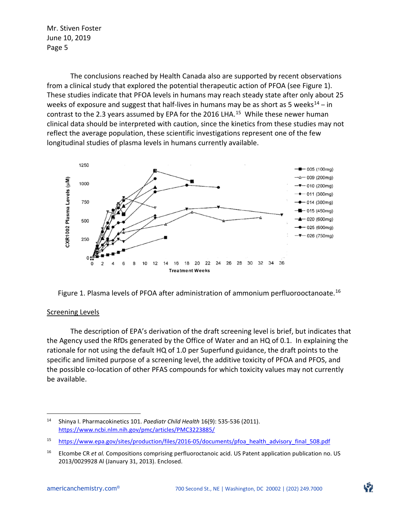The conclusions reached by Health Canada also are supported by recent observations from a clinical study that explored the potential therapeutic action of PFOA (see Figure 1). These studies indicate that PFOA levels in humans may reach steady state after only about 25 weeks of exposure and suggest that half-lives in humans may be as short as 5 weeks $^{14}$  $^{14}$  $^{14}$  – in contrast to the 2.3 years assumed by EPA for the 2016 LHA.<sup>[15](#page-10-1)</sup> While these newer human clinical data should be interpreted with caution, since the kinetics from these studies may not reflect the average population, these scientific investigations represent one of the few longitudinal studies of plasma levels in humans currently available.



Figure 1. Plasma levels of PFOA after administration of ammonium perfluorooctanoate.<sup>[16](#page-10-2)</sup>

#### Screening Levels

 $\overline{a}$ 

The description of EPA's derivation of the draft screening level is brief, but indicates that the Agency used the RfDs generated by the Office of Water and an HQ of 0.1. In explaining the rationale for not using the default HQ of 1.0 per Superfund guidance, the draft points to the specific and limited purpose of a screening level, the additive toxicity of PFOA and PFOS, and the possible co-location of other PFAS compounds for which toxicity values may not currently be available.

<span id="page-10-0"></span><sup>14</sup> Shinya I. Pharmacokinetics 101. *Paediatr Child Health* 16(9): 535-536 (2011). <https://www.ncbi.nlm.nih.gov/pmc/articles/PMC3223885/>

<span id="page-10-1"></span><sup>15</sup> [https://www.epa.gov/sites/production/files/2016-05/documents/pfoa\\_health\\_advisory\\_final\\_508.pdf](https://www.epa.gov/sites/production/files/2016-05/documents/pfoa_health_advisory_final_508.pdf)

<span id="page-10-2"></span><sup>16</sup> Elcombe CR *et al.* Compositions comprising perfluoroctanoic acid. US Patent application publication no. US 2013/0029928 Al (January 31, 2013). Enclosed.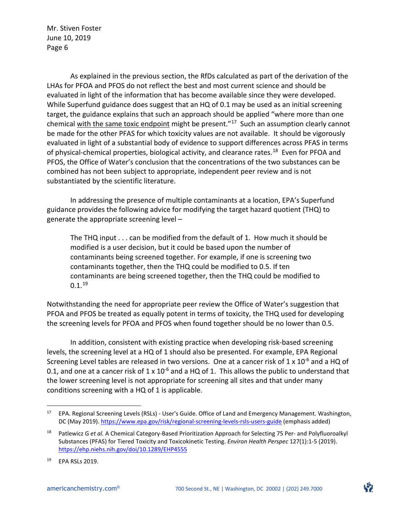As explained in the previous section, the RfDs calculated as part of the derivation of the LHAs for PFOA and PFOS do not reflect the best and most current science and should be evaluated in light of the information that has become available since they were developed. While Superfund guidance does suggest that an HQ of 0.1 may be used as an initial screening target, the guidance explains that such an approach should be applied "where more than one chemical with the same toxic endpoint might be present."<sup>[17](#page-11-0)</sup> Such an assumption clearly cannot be made for the other PFAS for which toxicity values are not available. It should be vigorously evaluated in light of a substantial body of evidence to support differences across PFAS in terms of physical-chemical properties, biological activity, and clearance rates.[18](#page-11-1) Even for PFOA and PFOS, the Office of Water's conclusion that the concentrations of the two substances can be combined has not been subject to appropriate, independent peer review and is not substantiated by the scientific literature.

In addressing the presence of multiple contaminants at a location, EPA's Superfund guidance provides the following advice for modifying the target hazard quotient (THQ) to generate the appropriate screening level –

The THQ input . . . can be modified from the default of 1. How much it should be modified is a user decision, but it could be based upon the number of contaminants being screened together. For example, if one is screening two contaminants together, then the THQ could be modified to 0.5. If ten contaminants are being screened together, then the THQ could be modified to  $0.1.<sup>19</sup>$  $0.1.<sup>19</sup>$  $0.1.<sup>19</sup>$ 

Notwithstanding the need for appropriate peer review the Office of Water's suggestion that PFOA and PFOS be treated as equally potent in terms of toxicity, the THQ used for developing the screening levels for PFOA and PFOS when found together should be no lower than 0.5.

In addition, consistent with existing practice when developing risk-based screening levels, the screening level at a HQ of 1 should also be presented. For example, EPA Regional Screening Level tables are released in two versions. One at a cancer risk of 1 x 10<sup>-6</sup> and a HQ of 0.1, and one at a cancer risk of  $1 \times 10^{-6}$  and a HQ of 1. This allows the public to understand that the lower screening level is not appropriate for screening all sites and that under many conditions screening with a HQ of 1 is applicable.

<span id="page-11-0"></span><sup>&</sup>lt;sup>17</sup> EPA. Regional Screening Levels (RSLs) - User's Guide. Office of Land and Emergency Management. Washington, DC (May 2019).<https://www.epa.gov/risk/regional-screening-levels-rsls-users-guide> (emphasis added)

<span id="page-11-1"></span><sup>18</sup> Patlewicz G *et al.* A Chemical Category-Based Prioritization Approach for Selecting 75 Per- and Polyfluoroalkyl Substances (PFAS) for Tiered Toxicity and Toxicokinetic Testing. *Environ Health Perspec* 127(1):1-5 (2019). <https://ehp.niehs.nih.gov/doi/10.1289/EHP4555>

<span id="page-11-2"></span><sup>19</sup> EPA RSLs 2019.